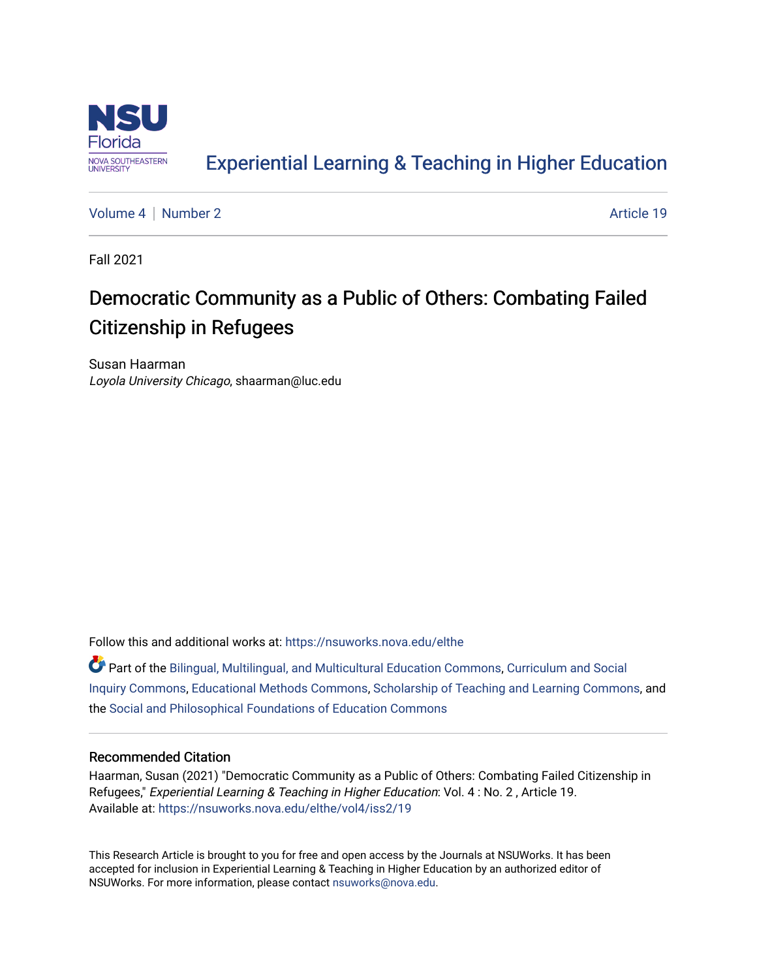

### [Experiential Learning & Teaching in Higher Education](https://nsuworks.nova.edu/elthe)

[Volume 4](https://nsuworks.nova.edu/elthe/vol4) | [Number 2](https://nsuworks.nova.edu/elthe/vol4/iss2) Article 19

Fall 2021

## Democratic Community as a Public of Others: Combating Failed Citizenship in Refugees

Susan Haarman Loyola University Chicago, shaarman@luc.edu

Follow this and additional works at: [https://nsuworks.nova.edu/elthe](https://nsuworks.nova.edu/elthe?utm_source=nsuworks.nova.edu%2Felthe%2Fvol4%2Fiss2%2F19&utm_medium=PDF&utm_campaign=PDFCoverPages)

Part of the [Bilingual, Multilingual, and Multicultural Education Commons,](http://network.bepress.com/hgg/discipline/785?utm_source=nsuworks.nova.edu%2Felthe%2Fvol4%2Fiss2%2F19&utm_medium=PDF&utm_campaign=PDFCoverPages) [Curriculum and Social](http://network.bepress.com/hgg/discipline/1038?utm_source=nsuworks.nova.edu%2Felthe%2Fvol4%2Fiss2%2F19&utm_medium=PDF&utm_campaign=PDFCoverPages)  [Inquiry Commons,](http://network.bepress.com/hgg/discipline/1038?utm_source=nsuworks.nova.edu%2Felthe%2Fvol4%2Fiss2%2F19&utm_medium=PDF&utm_campaign=PDFCoverPages) [Educational Methods Commons,](http://network.bepress.com/hgg/discipline/1227?utm_source=nsuworks.nova.edu%2Felthe%2Fvol4%2Fiss2%2F19&utm_medium=PDF&utm_campaign=PDFCoverPages) [Scholarship of Teaching and Learning Commons,](http://network.bepress.com/hgg/discipline/1328?utm_source=nsuworks.nova.edu%2Felthe%2Fvol4%2Fiss2%2F19&utm_medium=PDF&utm_campaign=PDFCoverPages) and the [Social and Philosophical Foundations of Education Commons](http://network.bepress.com/hgg/discipline/799?utm_source=nsuworks.nova.edu%2Felthe%2Fvol4%2Fiss2%2F19&utm_medium=PDF&utm_campaign=PDFCoverPages) 

#### Recommended Citation

Haarman, Susan (2021) "Democratic Community as a Public of Others: Combating Failed Citizenship in Refugees," Experiential Learning & Teaching in Higher Education: Vol. 4 : No. 2 , Article 19. Available at: [https://nsuworks.nova.edu/elthe/vol4/iss2/19](https://nsuworks.nova.edu/elthe/vol4/iss2/19?utm_source=nsuworks.nova.edu%2Felthe%2Fvol4%2Fiss2%2F19&utm_medium=PDF&utm_campaign=PDFCoverPages) 

This Research Article is brought to you for free and open access by the Journals at NSUWorks. It has been accepted for inclusion in Experiential Learning & Teaching in Higher Education by an authorized editor of NSUWorks. For more information, please contact [nsuworks@nova.edu](mailto:nsuworks@nova.edu).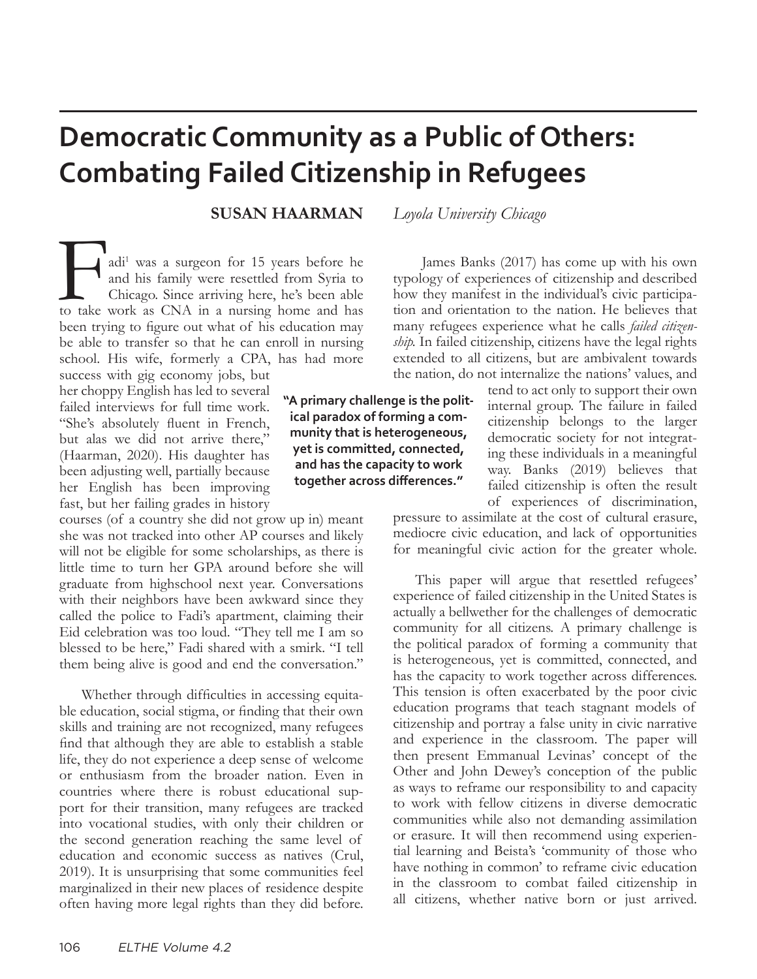# **Democratic Community as a Public of Others: Combating Failed Citizenship in Refugees**

#### **SUSAN HAARMAN** *Loyola University Chicago*

adi<sup>1</sup> was a surgeon for 15 years before he and his family were resettled from Syria to Chicago. Since arriving here, he's been able to take work as CNA in a nursing home and has adi<sup>1</sup> was a surgeon for 15 years before he and his family were resettled from Syria to Chicago. Since arriving here, he's been able been trying to figure out what of his education may be able to transfer so that he can enroll in nursing school. His wife, formerly a CPA, has had more

success with gig economy jobs, but her choppy English has led to several failed interviews for full time work. "She's absolutely fluent in French, but alas we did not arrive there," (Haarman, 2020). His daughter has been adjusting well, partially because her English has been improving fast, but her failing grades in history

courses (of a country she did not grow up in) meant she was not tracked into other AP courses and likely will not be eligible for some scholarships, as there is little time to turn her GPA around before she will graduate from highschool next year. Conversations with their neighbors have been awkward since they called the police to Fadi's apartment, claiming their Eid celebration was too loud. "They tell me I am so blessed to be here," Fadi shared with a smirk. "I tell them being alive is good and end the conversation."

Whether through difficulties in accessing equitable education, social stigma, or finding that their own skills and training are not recognized, many refugees find that although they are able to establish a stable life, they do not experience a deep sense of welcome or enthusiasm from the broader nation. Even in countries where there is robust educational support for their transition, many refugees are tracked into vocational studies, with only their children or the second generation reaching the same level of education and economic success as natives (Crul, 2019). It is unsurprising that some communities feel marginalized in their new places of residence despite often having more legal rights than they did before.

**"A primary challenge is the political paradox of forming a community that is heterogeneous, yet is committed, connected, and has the capacity to work together across differences."**

many refugees experience what he calls *failed citizenship.* In failed citizenship, citizens have the legal rights extended to all citizens, but are ambivalent towards the nation, do not internalize the nations' values, and tend to act only to support their own internal group. The failure in failed citizenship belongs to the larger

 James Banks (2017) has come up with his own typology of experiences of citizenship and described how they manifest in the individual's civic participation and orientation to the nation. He believes that

> democratic society for not integrating these individuals in a meaningful way. Banks (2019) believes that failed citizenship is often the result of experiences of discrimination,

pressure to assimilate at the cost of cultural erasure, mediocre civic education, and lack of opportunities for meaningful civic action for the greater whole.

This paper will argue that resettled refugees' experience of failed citizenship in the United States is actually a bellwether for the challenges of democratic community for all citizens. A primary challenge is the political paradox of forming a community that is heterogeneous, yet is committed, connected, and has the capacity to work together across differences. This tension is often exacerbated by the poor civic education programs that teach stagnant models of citizenship and portray a false unity in civic narrative and experience in the classroom. The paper will then present Emmanual Levinas' concept of the Other and John Dewey's conception of the public as ways to reframe our responsibility to and capacity to work with fellow citizens in diverse democratic communities while also not demanding assimilation or erasure. It will then recommend using experiential learning and Beista's 'community of those who have nothing in common' to reframe civic education in the classroom to combat failed citizenship in all citizens, whether native born or just arrived.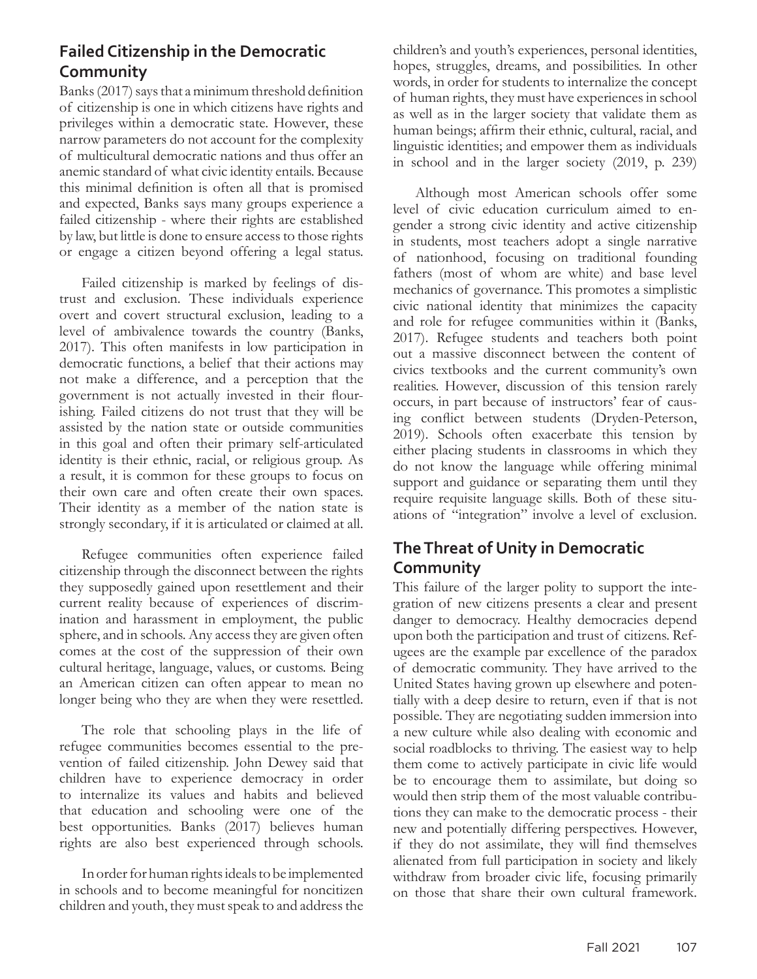#### **Failed Citizenship in the Democratic Community**

Banks (2017) says that a minimum threshold definition of citizenship is one in which citizens have rights and privileges within a democratic state. However, these narrow parameters do not account for the complexity of multicultural democratic nations and thus offer an anemic standard of what civic identity entails. Because this minimal definition is often all that is promised and expected, Banks says many groups experience a failed citizenship - where their rights are established by law, but little is done to ensure access to those rights or engage a citizen beyond offering a legal status.

Failed citizenship is marked by feelings of distrust and exclusion. These individuals experience overt and covert structural exclusion, leading to a level of ambivalence towards the country (Banks, 2017). This often manifests in low participation in democratic functions, a belief that their actions may not make a difference, and a perception that the government is not actually invested in their flourishing. Failed citizens do not trust that they will be assisted by the nation state or outside communities in this goal and often their primary self-articulated identity is their ethnic, racial, or religious group. As a result, it is common for these groups to focus on their own care and often create their own spaces. Their identity as a member of the nation state is strongly secondary, if it is articulated or claimed at all.

Refugee communities often experience failed citizenship through the disconnect between the rights they supposedly gained upon resettlement and their current reality because of experiences of discrimination and harassment in employment, the public sphere, and in schools. Any access they are given often comes at the cost of the suppression of their own cultural heritage, language, values, or customs. Being an American citizen can often appear to mean no longer being who they are when they were resettled.

The role that schooling plays in the life of refugee communities becomes essential to the prevention of failed citizenship. John Dewey said that children have to experience democracy in order to internalize its values and habits and believed that education and schooling were one of the best opportunities. Banks (2017) believes human rights are also best experienced through schools.

In order for human rights ideals to be implemented in schools and to become meaningful for noncitizen children and youth, they must speak to and address the

children's and youth's experiences, personal identities, hopes, struggles, dreams, and possibilities. In other words, in order for students to internalize the concept of human rights, they must have experiences in school as well as in the larger society that validate them as human beings; affirm their ethnic, cultural, racial, and linguistic identities; and empower them as individuals in school and in the larger society (2019, p. 239)

Although most American schools offer some level of civic education curriculum aimed to engender a strong civic identity and active citizenship in students, most teachers adopt a single narrative of nationhood, focusing on traditional founding fathers (most of whom are white) and base level mechanics of governance. This promotes a simplistic civic national identity that minimizes the capacity and role for refugee communities within it (Banks, 2017). Refugee students and teachers both point out a massive disconnect between the content of civics textbooks and the current community's own realities. However, discussion of this tension rarely occurs, in part because of instructors' fear of causing conflict between students (Dryden-Peterson, 2019). Schools often exacerbate this tension by either placing students in classrooms in which they do not know the language while offering minimal support and guidance or separating them until they require requisite language skills. Both of these situations of "integration" involve a level of exclusion.

#### **The Threat of Unity in Democratic Community**

This failure of the larger polity to support the integration of new citizens presents a clear and present danger to democracy. Healthy democracies depend upon both the participation and trust of citizens. Refugees are the example par excellence of the paradox of democratic community. They have arrived to the United States having grown up elsewhere and potentially with a deep desire to return, even if that is not possible. They are negotiating sudden immersion into a new culture while also dealing with economic and social roadblocks to thriving. The easiest way to help them come to actively participate in civic life would be to encourage them to assimilate, but doing so would then strip them of the most valuable contributions they can make to the democratic process - their new and potentially differing perspectives. However, if they do not assimilate, they will find themselves alienated from full participation in society and likely withdraw from broader civic life, focusing primarily on those that share their own cultural framework.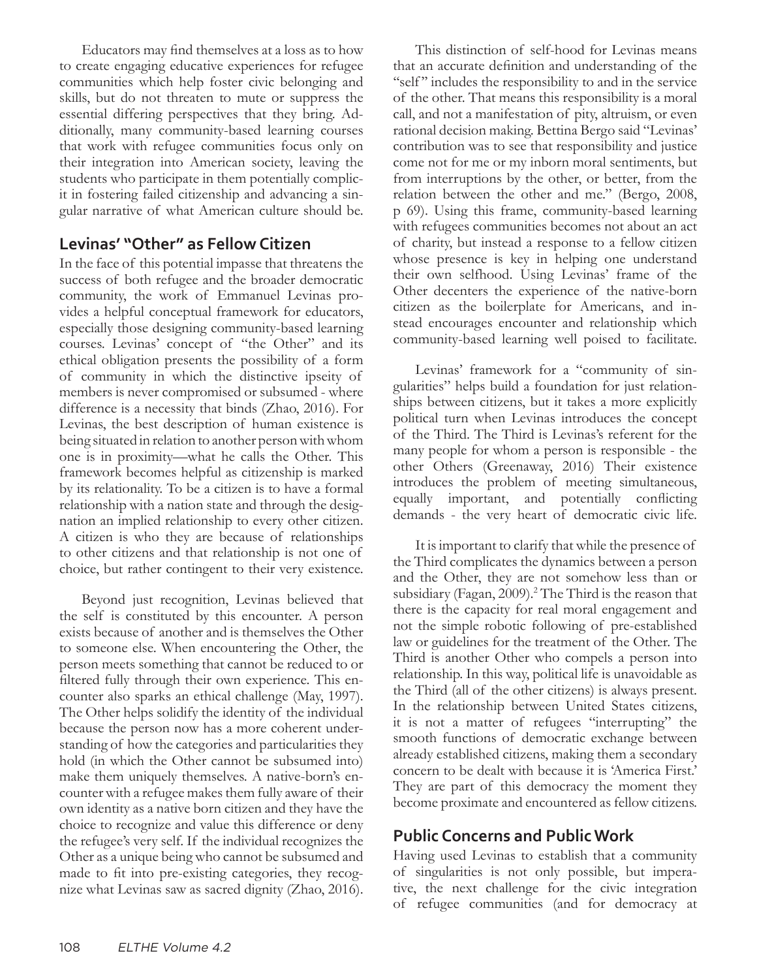Educators may find themselves at a loss as to how to create engaging educative experiences for refugee communities which help foster civic belonging and skills, but do not threaten to mute or suppress the essential differing perspectives that they bring. Additionally, many community-based learning courses that work with refugee communities focus only on their integration into American society, leaving the students who participate in them potentially complicit in fostering failed citizenship and advancing a singular narrative of what American culture should be.

#### **Levinas' "Other" as Fellow Citizen**

In the face of this potential impasse that threatens the success of both refugee and the broader democratic community, the work of Emmanuel Levinas provides a helpful conceptual framework for educators, especially those designing community-based learning courses. Levinas' concept of "the Other" and its ethical obligation presents the possibility of a form of community in which the distinctive ipseity of members is never compromised or subsumed - where difference is a necessity that binds (Zhao, 2016). For Levinas, the best description of human existence is being situated in relation to another person with whom one is in proximity—what he calls the Other. This framework becomes helpful as citizenship is marked by its relationality. To be a citizen is to have a formal relationship with a nation state and through the designation an implied relationship to every other citizen. A citizen is who they are because of relationships to other citizens and that relationship is not one of choice, but rather contingent to their very existence.

Beyond just recognition, Levinas believed that the self is constituted by this encounter. A person exists because of another and is themselves the Other to someone else. When encountering the Other, the person meets something that cannot be reduced to or filtered fully through their own experience. This encounter also sparks an ethical challenge (May, 1997). The Other helps solidify the identity of the individual because the person now has a more coherent understanding of how the categories and particularities they hold (in which the Other cannot be subsumed into) make them uniquely themselves. A native-born's encounter with a refugee makes them fully aware of their own identity as a native born citizen and they have the choice to recognize and value this difference or deny the refugee's very self. If the individual recognizes the Other as a unique being who cannot be subsumed and made to fit into pre-existing categories, they recognize what Levinas saw as sacred dignity (Zhao, 2016).

This distinction of self-hood for Levinas means that an accurate definition and understanding of the "self" includes the responsibility to and in the service of the other. That means this responsibility is a moral call, and not a manifestation of pity, altruism, or even rational decision making. Bettina Bergo said "Levinas' contribution was to see that responsibility and justice come not for me or my inborn moral sentiments, but from interruptions by the other, or better, from the relation between the other and me." (Bergo, 2008, p 69). Using this frame, community-based learning with refugees communities becomes not about an act of charity, but instead a response to a fellow citizen whose presence is key in helping one understand their own selfhood. Using Levinas' frame of the Other decenters the experience of the native-born citizen as the boilerplate for Americans, and instead encourages encounter and relationship which community-based learning well poised to facilitate.

Levinas' framework for a "community of singularities" helps build a foundation for just relationships between citizens, but it takes a more explicitly political turn when Levinas introduces the concept of the Third. The Third is Levinas's referent for the many people for whom a person is responsible - the other Others (Greenaway, 2016) Their existence introduces the problem of meeting simultaneous, equally important, and potentially conflicting demands - the very heart of democratic civic life.

It is important to clarify that while the presence of the Third complicates the dynamics between a person and the Other, they are not somehow less than or subsidiary (Fagan, 2009).<sup>2</sup> The Third is the reason that there is the capacity for real moral engagement and not the simple robotic following of pre-established law or guidelines for the treatment of the Other. The Third is another Other who compels a person into relationship. In this way, political life is unavoidable as the Third (all of the other citizens) is always present. In the relationship between United States citizens, it is not a matter of refugees "interrupting" the smooth functions of democratic exchange between already established citizens, making them a secondary concern to be dealt with because it is 'America First.' They are part of this democracy the moment they become proximate and encountered as fellow citizens.

#### **Public Concerns and Public Work**

Having used Levinas to establish that a community of singularities is not only possible, but imperative, the next challenge for the civic integration of refugee communities (and for democracy at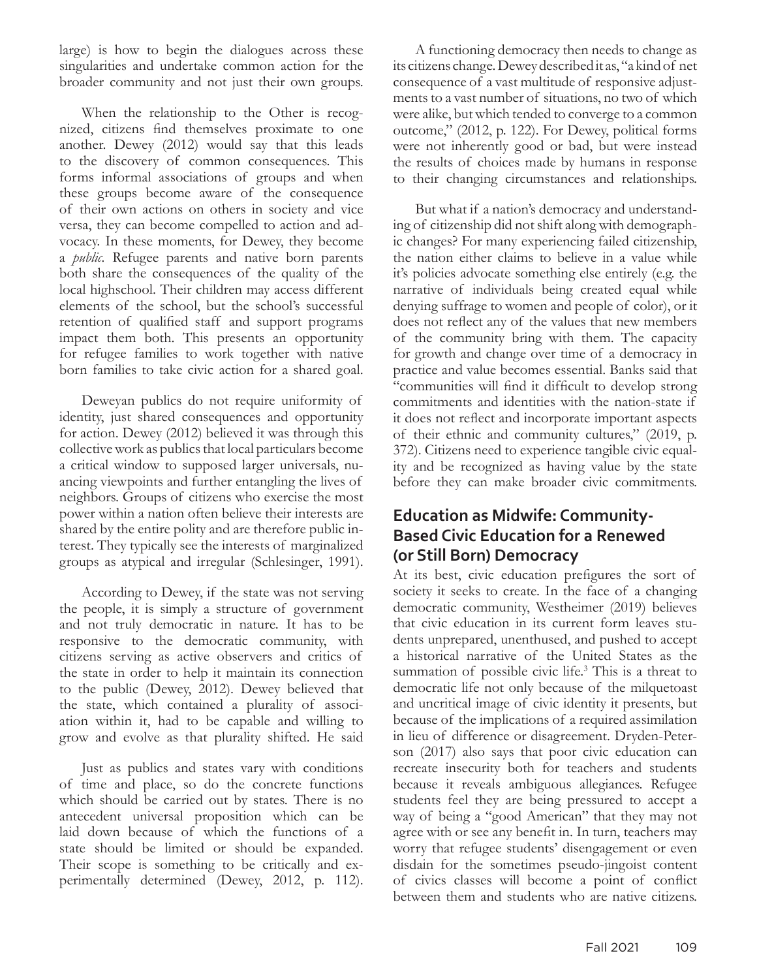large) is how to begin the dialogues across these singularities and undertake common action for the broader community and not just their own groups.

When the relationship to the Other is recognized, citizens find themselves proximate to one another. Dewey (2012) would say that this leads to the discovery of common consequences. This forms informal associations of groups and when these groups become aware of the consequence of their own actions on others in society and vice versa, they can become compelled to action and advocacy. In these moments, for Dewey, they become a *public.* Refugee parents and native born parents both share the consequences of the quality of the local highschool. Their children may access different elements of the school, but the school's successful retention of qualified staff and support programs impact them both. This presents an opportunity for refugee families to work together with native born families to take civic action for a shared goal.

Deweyan publics do not require uniformity of identity, just shared consequences and opportunity for action. Dewey (2012) believed it was through this collective work as publics that local particulars become a critical window to supposed larger universals, nuancing viewpoints and further entangling the lives of neighbors. Groups of citizens who exercise the most power within a nation often believe their interests are shared by the entire polity and are therefore public interest. They typically see the interests of marginalized groups as atypical and irregular (Schlesinger, 1991).

According to Dewey, if the state was not serving the people, it is simply a structure of government and not truly democratic in nature. It has to be responsive to the democratic community, with citizens serving as active observers and critics of the state in order to help it maintain its connection to the public (Dewey, 2012). Dewey believed that the state, which contained a plurality of association within it, had to be capable and willing to grow and evolve as that plurality shifted. He said

Just as publics and states vary with conditions of time and place, so do the concrete functions which should be carried out by states. There is no antecedent universal proposition which can be laid down because of which the functions of a state should be limited or should be expanded. Their scope is something to be critically and experimentally determined (Dewey, 2012, p. 112).

A functioning democracy then needs to change as its citizens change. Dewey described it as, "a kind of net consequence of a vast multitude of responsive adjustments to a vast number of situations, no two of which were alike, but which tended to converge to a common outcome," (2012, p. 122). For Dewey, political forms were not inherently good or bad, but were instead the results of choices made by humans in response to their changing circumstances and relationships.

But what if a nation's democracy and understanding of citizenship did not shift along with demographic changes? For many experiencing failed citizenship, the nation either claims to believe in a value while it's policies advocate something else entirely (e.g. the narrative of individuals being created equal while denying suffrage to women and people of color), or it does not reflect any of the values that new members of the community bring with them. The capacity for growth and change over time of a democracy in practice and value becomes essential. Banks said that "communities will find it difficult to develop strong commitments and identities with the nation-state if it does not reflect and incorporate important aspects of their ethnic and community cultures," (2019, p. 372). Citizens need to experience tangible civic equality and be recognized as having value by the state before they can make broader civic commitments.

#### **Education as Midwife: Community-Based Civic Education for a Renewed (or Still Born) Democracy**

At its best, civic education prefigures the sort of society it seeks to create. In the face of a changing democratic community, Westheimer (2019) believes that civic education in its current form leaves students unprepared, unenthused, and pushed to accept a historical narrative of the United States as the summation of possible civic life.<sup>3</sup> This is a threat to democratic life not only because of the milquetoast and uncritical image of civic identity it presents, but because of the implications of a required assimilation in lieu of difference or disagreement. Dryden-Peterson (2017) also says that poor civic education can recreate insecurity both for teachers and students because it reveals ambiguous allegiances. Refugee students feel they are being pressured to accept a way of being a "good American" that they may not agree with or see any benefit in. In turn, teachers may worry that refugee students' disengagement or even disdain for the sometimes pseudo-jingoist content of civics classes will become a point of conflict between them and students who are native citizens.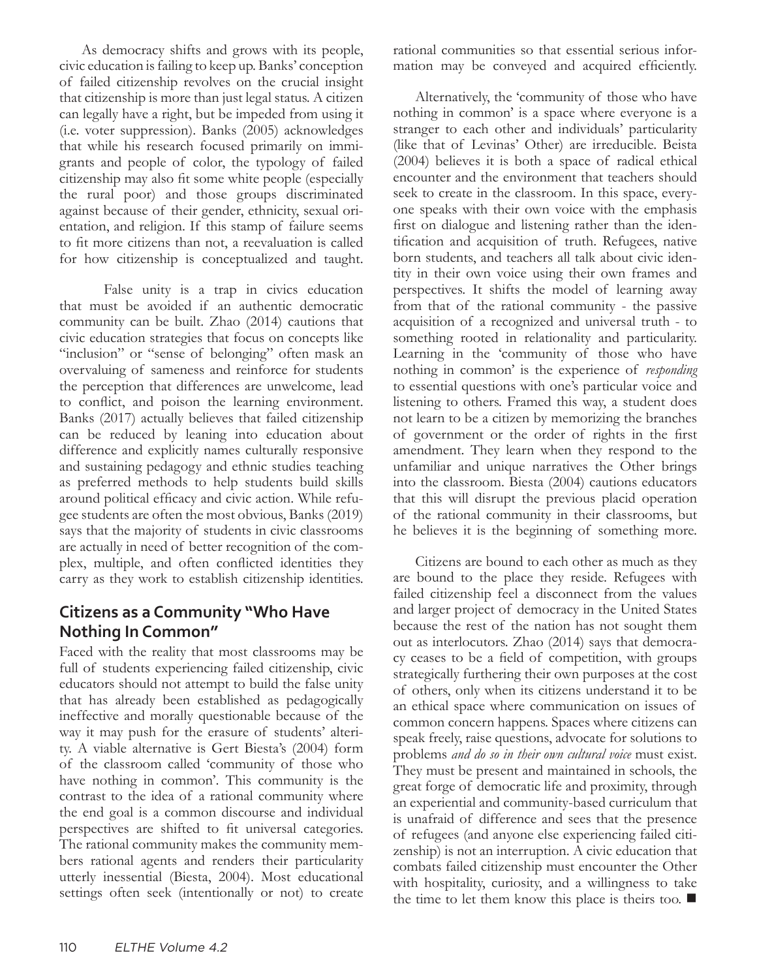As democracy shifts and grows with its people, civic education is failing to keep up. Banks' conception of failed citizenship revolves on the crucial insight that citizenship is more than just legal status. A citizen can legally have a right, but be impeded from using it (i.e. voter suppression). Banks (2005) acknowledges that while his research focused primarily on immigrants and people of color, the typology of failed citizenship may also fit some white people (especially the rural poor) and those groups discriminated against because of their gender, ethnicity, sexual orientation, and religion. If this stamp of failure seems to fit more citizens than not, a reevaluation is called for how citizenship is conceptualized and taught.

False unity is a trap in civics education that must be avoided if an authentic democratic community can be built. Zhao (2014) cautions that civic education strategies that focus on concepts like "inclusion" or "sense of belonging" often mask an overvaluing of sameness and reinforce for students the perception that differences are unwelcome, lead to conflict, and poison the learning environment. Banks (2017) actually believes that failed citizenship can be reduced by leaning into education about difference and explicitly names culturally responsive and sustaining pedagogy and ethnic studies teaching as preferred methods to help students build skills around political efficacy and civic action. While refugee students are often the most obvious, Banks (2019) says that the majority of students in civic classrooms are actually in need of better recognition of the complex, multiple, and often conflicted identities they carry as they work to establish citizenship identities.

#### **Citizens as a Community "Who Have Nothing In Common"**

Faced with the reality that most classrooms may be full of students experiencing failed citizenship, civic educators should not attempt to build the false unity that has already been established as pedagogically ineffective and morally questionable because of the way it may push for the erasure of students' alterity. A viable alternative is Gert Biesta's (2004) form of the classroom called 'community of those who have nothing in common'. This community is the contrast to the idea of a rational community where the end goal is a common discourse and individual perspectives are shifted to fit universal categories. The rational community makes the community members rational agents and renders their particularity utterly inessential (Biesta, 2004). Most educational settings often seek (intentionally or not) to create rational communities so that essential serious information may be conveyed and acquired efficiently.

Alternatively, the 'community of those who have nothing in common' is a space where everyone is a stranger to each other and individuals' particularity (like that of Levinas' Other) are irreducible. Beista (2004) believes it is both a space of radical ethical encounter and the environment that teachers should seek to create in the classroom. In this space, everyone speaks with their own voice with the emphasis first on dialogue and listening rather than the identification and acquisition of truth. Refugees, native born students, and teachers all talk about civic identity in their own voice using their own frames and perspectives. It shifts the model of learning away from that of the rational community - the passive acquisition of a recognized and universal truth - to something rooted in relationality and particularity. Learning in the 'community of those who have nothing in common' is the experience of *responding* to essential questions with one's particular voice and listening to others. Framed this way, a student does not learn to be a citizen by memorizing the branches of government or the order of rights in the first amendment. They learn when they respond to the unfamiliar and unique narratives the Other brings into the classroom. Biesta (2004) cautions educators that this will disrupt the previous placid operation of the rational community in their classrooms, but he believes it is the beginning of something more.

Citizens are bound to each other as much as they are bound to the place they reside. Refugees with failed citizenship feel a disconnect from the values and larger project of democracy in the United States because the rest of the nation has not sought them out as interlocutors. Zhao (2014) says that democracy ceases to be a field of competition, with groups strategically furthering their own purposes at the cost of others, only when its citizens understand it to be an ethical space where communication on issues of common concern happens. Spaces where citizens can speak freely, raise questions, advocate for solutions to problems *and do so in their own cultural voice* must exist. They must be present and maintained in schools, the great forge of democratic life and proximity, through an experiential and community-based curriculum that is unafraid of difference and sees that the presence of refugees (and anyone else experiencing failed citizenship) is not an interruption. A civic education that combats failed citizenship must encounter the Other with hospitality, curiosity, and a willingness to take the time to let them know this place is theirs too.  $\blacksquare$